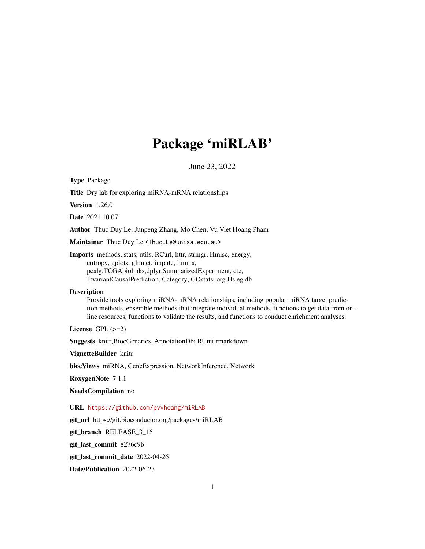# Package 'miRLAB'

June 23, 2022

Type Package

Title Dry lab for exploring miRNA-mRNA relationships

Version 1.26.0

Date 2021.10.07

Author Thuc Duy Le, Junpeng Zhang, Mo Chen, Vu Viet Hoang Pham

Maintainer Thuc Duy Le <Thuc.Le@unisa.edu.au>

Imports methods, stats, utils, RCurl, httr, stringr, Hmisc, energy, entropy, gplots, glmnet, impute, limma, pcalg,TCGAbiolinks,dplyr,SummarizedExperiment, ctc, InvariantCausalPrediction, Category, GOstats, org.Hs.eg.db

#### **Description**

Provide tools exploring miRNA-mRNA relationships, including popular miRNA target prediction methods, ensemble methods that integrate individual methods, functions to get data from online resources, functions to validate the results, and functions to conduct enrichment analyses.

License  $GPL$  ( $>=2$ )

Suggests knitr,BiocGenerics, AnnotationDbi,RUnit,rmarkdown

VignetteBuilder knitr

biocViews miRNA, GeneExpression, NetworkInference, Network

RoxygenNote 7.1.1

NeedsCompilation no

URL <https://github.com/pvvhoang/miRLAB>

git\_url https://git.bioconductor.org/packages/miRLAB

git\_branch RELEASE\_3\_15

git\_last\_commit 8276c9b

git\_last\_commit\_date 2022-04-26

Date/Publication 2022-06-23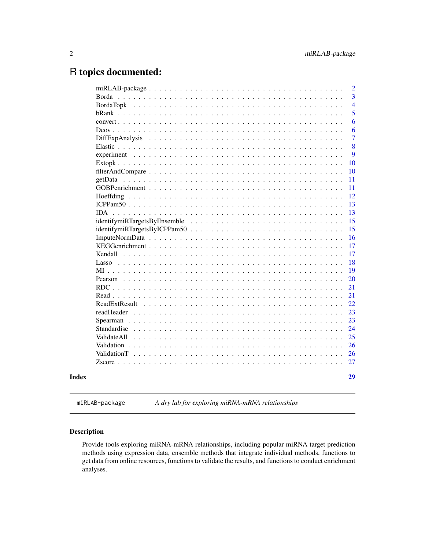# <span id="page-1-0"></span>R topics documented:

|                                                                                                                              | 2              |
|------------------------------------------------------------------------------------------------------------------------------|----------------|
| Borda                                                                                                                        | 3              |
|                                                                                                                              | $\overline{4}$ |
|                                                                                                                              | 5              |
|                                                                                                                              | 6              |
|                                                                                                                              | 6              |
| <b>DiffExpAnalysis</b>                                                                                                       | $\overline{7}$ |
|                                                                                                                              | 8              |
|                                                                                                                              | 9              |
|                                                                                                                              | 10             |
|                                                                                                                              | 10             |
| getData                                                                                                                      | 11             |
|                                                                                                                              | 11             |
|                                                                                                                              | 12             |
|                                                                                                                              | 13             |
| IDA.<br><u>. A provincia de la caractería de la caractería de la caractería de la caractería de la caractería de la cara</u> | 13             |
|                                                                                                                              | 15             |
|                                                                                                                              | 15             |
|                                                                                                                              | 16             |
|                                                                                                                              | 17             |
|                                                                                                                              | 17             |
|                                                                                                                              | 18             |
| $MI$                                                                                                                         | 19             |
| Pearson                                                                                                                      | 20             |
| $RDC$                                                                                                                        | 21             |
| Read $\ldots$ . $\ldots$ . $\ldots$                                                                                          | 21             |
| ReadExtResult                                                                                                                | 22             |
| readHeader                                                                                                                   | 23             |
|                                                                                                                              | 23             |
| Standardise                                                                                                                  | 24             |
| ValidateAll                                                                                                                  | 25             |
|                                                                                                                              | 26             |
|                                                                                                                              | 26             |
|                                                                                                                              | 27             |
|                                                                                                                              | 29             |
|                                                                                                                              |                |

miRLAB-package *A dry lab for exploring miRNA-mRNA relationships*

# Description

Provide tools exploring miRNA-mRNA relationships, including popular miRNA target prediction methods using expression data, ensemble methods that integrate individual methods, functions to get data from online resources, functions to validate the results, and functions to conduct enrichment analyses.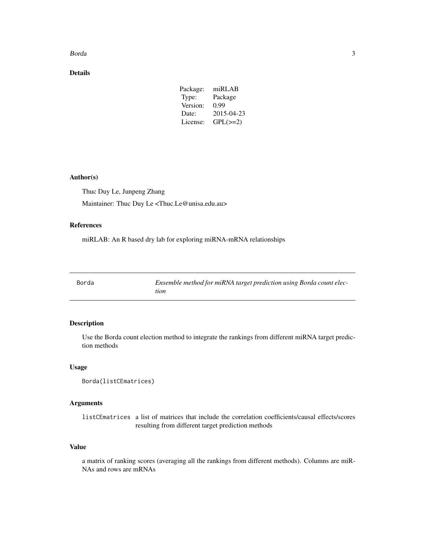#### <span id="page-2-0"></span>Borda 3

# Details

| Package: | mIRLAB        |
|----------|---------------|
| Type:    | Package       |
| Version: | 0.99          |
| Date:    | 2015-04-23    |
| License: | $GPL(\geq=2)$ |

#### Author(s)

Thuc Duy Le, Junpeng Zhang Maintainer: Thuc Duy Le <Thuc.Le@unisa.edu.au>

# References

miRLAB: An R based dry lab for exploring miRNA-mRNA relationships

| Borda | Ensemble method for miRNA target prediction using Borda count elec- |
|-------|---------------------------------------------------------------------|
|       |                                                                     |
|       | tion                                                                |

# Description

Use the Borda count election method to integrate the rankings from different miRNA target prediction methods

# Usage

```
Borda(listCEmatrices)
```
# Arguments

listCEmatrices a list of matrices that include the correlation coefficients/causal effects/scores resulting from different target prediction methods

#### Value

a matrix of ranking scores (averaging all the rankings from different methods). Columns are miR-NAs and rows are mRNAs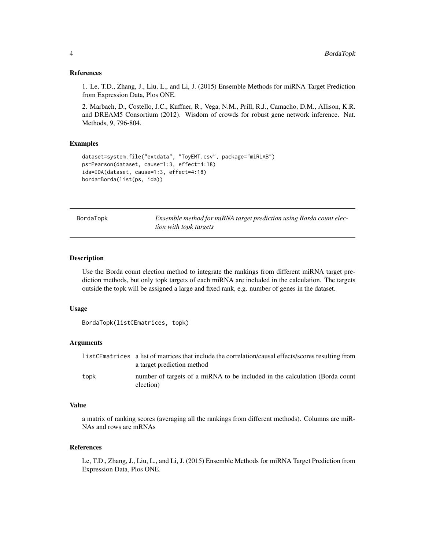#### <span id="page-3-0"></span>References

1. Le, T.D., Zhang, J., Liu, L., and Li, J. (2015) Ensemble Methods for miRNA Target Prediction from Expression Data, Plos ONE.

2. Marbach, D., Costello, J.C., Kuffner, R., Vega, N.M., Prill, R.J., Camacho, D.M., Allison, K.R. and DREAM5 Consortium (2012). Wisdom of crowds for robust gene network inference. Nat. Methods, 9, 796-804.

#### Examples

```
dataset=system.file("extdata", "ToyEMT.csv", package="miRLAB")
ps=Pearson(dataset, cause=1:3, effect=4:18)
ida=IDA(dataset, cause=1:3, effect=4:18)
borda=Borda(list(ps, ida))
```
BordaTopk *Ensemble method for miRNA target prediction using Borda count election with topk targets*

#### Description

Use the Borda count election method to integrate the rankings from different miRNA target prediction methods, but only topk targets of each miRNA are included in the calculation. The targets outside the topk will be assigned a large and fixed rank, e.g. number of genes in the dataset.

#### Usage

```
BordaTopk(listCEmatrices, topk)
```
# Arguments

|      | listCEmatrices a list of matrices that include the correlation/causal effects/scores resulting from<br>a target prediction method |
|------|-----------------------------------------------------------------------------------------------------------------------------------|
| topk | number of targets of a miRNA to be included in the calculation (Borda count<br>election)                                          |

#### Value

a matrix of ranking scores (averaging all the rankings from different methods). Columns are miR-NAs and rows are mRNAs

#### References

Le, T.D., Zhang, J., Liu, L., and Li, J. (2015) Ensemble Methods for miRNA Target Prediction from Expression Data, Plos ONE.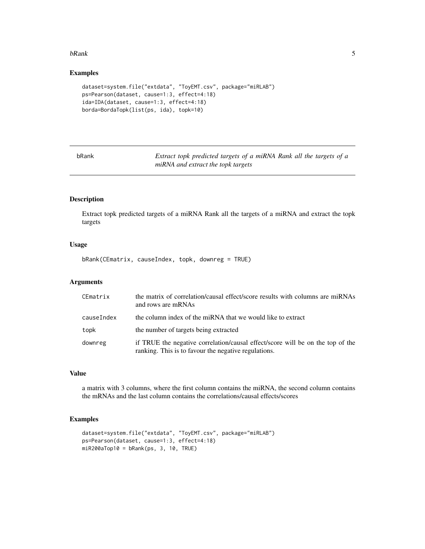#### <span id="page-4-0"></span>bRank 5

# Examples

```
dataset=system.file("extdata", "ToyEMT.csv", package="miRLAB")
ps=Pearson(dataset, cause=1:3, effect=4:18)
ida=IDA(dataset, cause=1:3, effect=4:18)
borda=BordaTopk(list(ps, ida), topk=10)
```

| nkank |  |
|-------|--|
|-------|--|

Extract topk predicted targets of a miRNA Rank all the targets of a *miRNA and extract the topk targets*

# Description

Extract topk predicted targets of a miRNA Rank all the targets of a miRNA and extract the topk targets

#### Usage

bRank(CEmatrix, causeIndex, topk, downreg = TRUE)

# Arguments

| CEmatrix   | the matrix of correlation/causal effect/score results with columns are miRNAs<br>and rows are mRNAs                                    |
|------------|----------------------------------------------------------------------------------------------------------------------------------------|
| causeIndex | the column index of the miRNA that we would like to extract                                                                            |
| topk       | the number of targets being extracted                                                                                                  |
| downreg    | if TRUE the negative correlation/causal effect/score will be on the top of the<br>ranking. This is to favour the negative regulations. |

# Value

a matrix with 3 columns, where the first column contains the miRNA, the second column contains the mRNAs and the last column contains the correlations/causal effects/scores

```
dataset=system.file("extdata", "ToyEMT.csv", package="miRLAB")
ps=Pearson(dataset, cause=1:3, effect=4:18)
miR200aTop10 = bRank(ps, 3, 10, TRUE)
```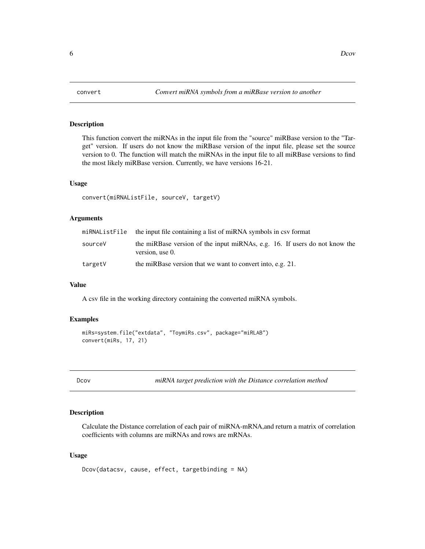<span id="page-5-0"></span>

This function convert the miRNAs in the input file from the "source" miRBase version to the "Target" version. If users do not know the miRBase version of the input file, please set the source version to 0. The function will match the miRNAs in the input file to all miRBase versions to find the most likely miRBase version. Currently, we have versions 16-21.

#### Usage

```
convert(miRNAListFile, sourceV, targetV)
```
# Arguments

|         | miRNAListFile the input file containing a list of miRNA symbols in csv format                 |  |
|---------|-----------------------------------------------------------------------------------------------|--|
| sourceV | the miRBase version of the input miRNAs, e.g. 16. If users do not know the<br>version, use 0. |  |
| targetV | the miRBase version that we want to convert into, e.g. 21.                                    |  |

#### Value

A csv file in the working directory containing the converted miRNA symbols.

# Examples

```
miRs=system.file("extdata", "ToymiRs.csv", package="miRLAB")
convert(miRs, 17, 21)
```
Dcov *miRNA target prediction with the Distance correlation method*

# Description

Calculate the Distance correlation of each pair of miRNA-mRNA,and return a matrix of correlation coefficients with columns are miRNAs and rows are mRNAs.

#### Usage

```
Dcov(datacsv, cause, effect, targetbinding = NA)
```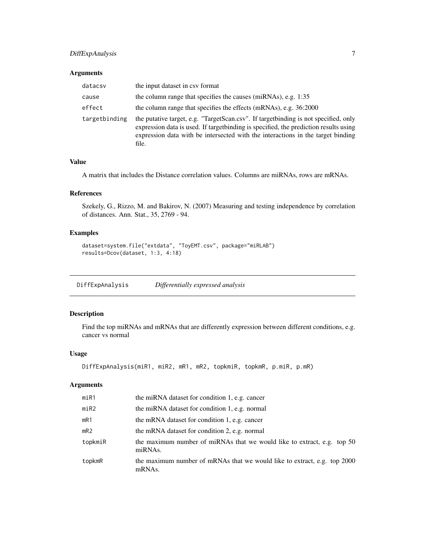# <span id="page-6-0"></span>DiffExpAnalysis 7

#### Arguments

| datacsv       | the input dataset in csy format                                                                                                                                                                                                                                           |
|---------------|---------------------------------------------------------------------------------------------------------------------------------------------------------------------------------------------------------------------------------------------------------------------------|
| cause         | the column range that specifies the causes (miRNAs), e.g. 1:35                                                                                                                                                                                                            |
| effect        | the column range that specifies the effects (mRNAs), e.g. 36:2000                                                                                                                                                                                                         |
| targetbinding | the putative target, e.g. "TargetScan.csv". If target binding is not specified, only<br>expression data is used. If target binding is specified, the prediction results using<br>expression data with be intersected with the interactions in the target binding<br>file. |

# Value

A matrix that includes the Distance correlation values. Columns are miRNAs, rows are mRNAs.

# References

Szekely, G., Rizzo, M. and Bakirov, N. (2007) Measuring and testing independence by correlation of distances. Ann. Stat., 35, 2769 - 94.

# Examples

```
dataset=system.file("extdata", "ToyEMT.csv", package="miRLAB")
results=Dcov(dataset, 1:3, 4:18)
```
DiffExpAnalysis *Differentially expressed analysis*

# Description

Find the top miRNAs and mRNAs that are differently expression between different conditions, e.g. cancer vs normal

#### Usage

```
DiffExpAnalysis(miR1, miR2, mR1, mR2, topkmiR, topkmR, p.miR, p.mR)
```
# Arguments

| minR1      | the miRNA dataset for condition 1, e.g. cancer                                     |
|------------|------------------------------------------------------------------------------------|
| $m$ i $R2$ | the miRNA dataset for condition 1, e.g. normal                                     |
| mR1        | the mRNA dataset for condition 1, e.g. cancer                                      |
| mR2        | the mRNA dataset for condition 2, e.g. normal                                      |
| topkmiR    | the maximum number of miRNAs that we would like to extract, e.g. top 50<br>miRNAs. |
| topkmR     | the maximum number of mRNAs that we would like to extract, e.g. top 2000<br>mRNAs. |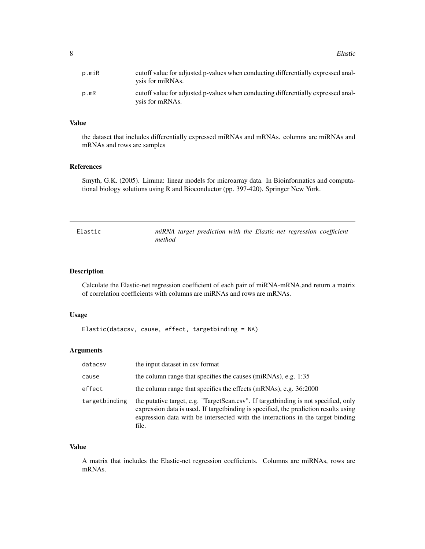<span id="page-7-0"></span>8 Blastic Secret 2012 12:30 Secret 2013 12:30 Secret 2013 12:30 Secret 2013 12:30 Secret 2013 12:30 Secret 2013 12:30 Secret 2013 12:30 Secret 2013 12:30 Secret 2013 12:30 Secret 2013 12:30 Secret 2013 12:30 Secret 2013 12

| p.miR | cutoff value for adjusted p-values when conducting differentially expressed anal-<br>ysis for miRNAs. |
|-------|-------------------------------------------------------------------------------------------------------|
| p.mR  | cutoff value for adjusted p-values when conducting differentially expressed anal-<br>ysis for mRNAs.  |

# Value

the dataset that includes differentially expressed miRNAs and mRNAs. columns are miRNAs and mRNAs and rows are samples

#### References

Smyth, G.K. (2005). Limma: linear models for microarray data. In Bioinformatics and computational biology solutions using R and Bioconductor (pp. 397-420). Springer New York.

| Elastic | miRNA target prediction with the Elastic-net regression coefficient |  |
|---------|---------------------------------------------------------------------|--|
|         | method                                                              |  |

# Description

Calculate the Elastic-net regression coefficient of each pair of miRNA-mRNA,and return a matrix of correlation coefficients with columns are miRNAs and rows are mRNAs.

#### Usage

```
Elastic(datacsv, cause, effect, targetbinding = NA)
```
# Arguments

| datacsv       | the input dataset in csy format                                                                                                                                                                                                                                          |
|---------------|--------------------------------------------------------------------------------------------------------------------------------------------------------------------------------------------------------------------------------------------------------------------------|
| cause         | the column range that specifies the causes (miRNAs), e.g. 1:35                                                                                                                                                                                                           |
| effect        | the column range that specifies the effects (mRNAs), e.g. 36:2000                                                                                                                                                                                                        |
| targetbinding | the putative target, e.g. "TargetScan.csv". If target binding is not specified, only<br>expression data is used. If targetbinding is specified, the prediction results using<br>expression data with be intersected with the interactions in the target binding<br>file. |

# Value

A matrix that includes the Elastic-net regression coefficients. Columns are miRNAs, rows are mRNAs.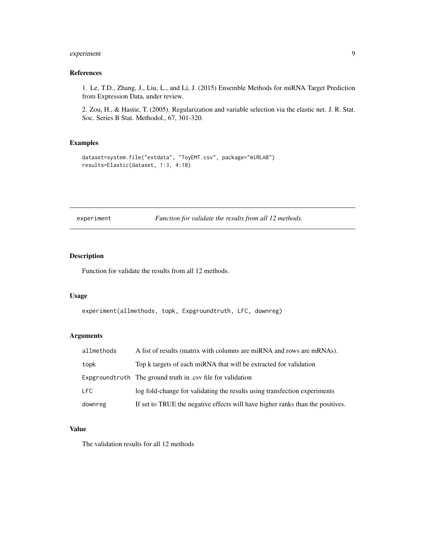# <span id="page-8-0"></span>experiment 9

### References

1. Le, T.D., Zhang, J., Liu, L., and Li, J. (2015) Ensemble Methods for miRNA Target Prediction from Expression Data, under review.

2. Zou, H., & Hastie, T. (2005). Regularization and variable selection via the elastic net. J. R. Stat. Soc. Series B Stat. Methodol., 67, 301-320.

# Examples

```
dataset=system.file("extdata", "ToyEMT.csv", package="miRLAB")
results=Elastic(dataset, 1:3, 4:18)
```
experiment *Function for validate the results from all 12 methods.*

#### Description

Function for validate the results from all 12 methods.

#### Usage

experiment(allmethods, topk, Expgroundtruth, LFC, downreg)

# Arguments

| allmethods | A list of results (matrix with columns are miRNA and rows are mRNAs).          |
|------------|--------------------------------------------------------------------------------|
| topk       | Top k targets of each miRNA that will be extracted for validation              |
|            | Expground truth The ground truth in .csv file for validation                   |
| LFC        | log fold-change for validating the results using transfection experiments      |
| downreg    | If set to TRUE the negative effects will have higher ranks than the positives. |

#### Value

The validation results for all 12 methods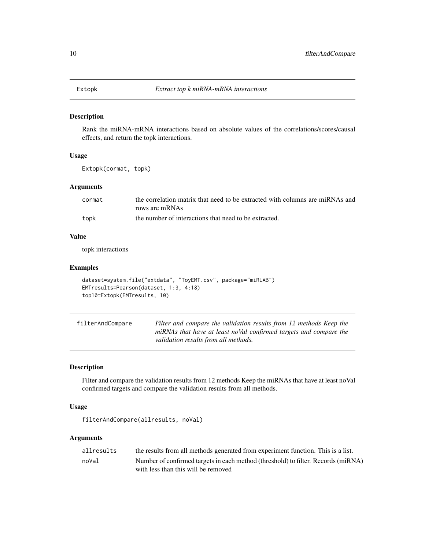<span id="page-9-0"></span>

Rank the miRNA-mRNA interactions based on absolute values of the correlations/scores/causal effects, and return the topk interactions.

#### Usage

Extopk(cormat, topk)

# Arguments

| cormat | the correlation matrix that need to be extracted with columns are miRNAs and |
|--------|------------------------------------------------------------------------------|
|        | rows are mRNAs                                                               |
| topk   | the number of interactions that need to be extracted.                        |

# Value

topk interactions

#### Examples

```
dataset=system.file("extdata", "ToyEMT.csv", package="miRLAB")
EMTresults=Pearson(dataset, 1:3, 4:18)
top10=Extopk(EMTresults, 10)
```

| filterAndCompare | Filter and compare the validation results from 12 methods Keep the |
|------------------|--------------------------------------------------------------------|
|                  | miRNAs that have at least noVal confirmed targets and compare the  |
|                  | validation results from all methods.                               |

# Description

Filter and compare the validation results from 12 methods Keep the miRNAs that have at least noVal confirmed targets and compare the validation results from all methods.

#### Usage

```
filterAndCompare(allresults, noVal)
```
#### Arguments

| allresults | the results from all methods generated from experiment function. This is a list.  |
|------------|-----------------------------------------------------------------------------------|
| noVal      | Number of confirmed targets in each method (threshold) to filter. Records (miRNA) |
|            | with less than this will be removed                                               |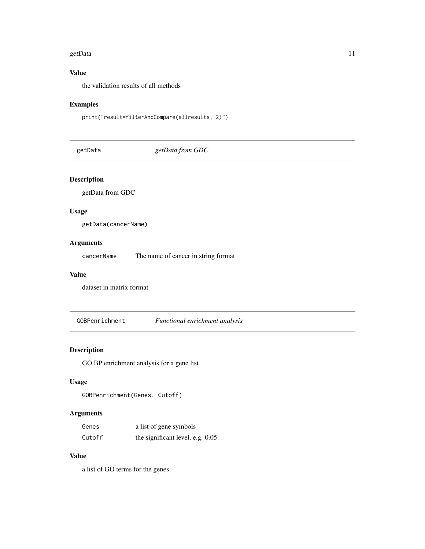#### <span id="page-10-0"></span>getData and the set of the set of the set of the set of the set of the set of the set of the set of the set of the set of the set of the set of the set of the set of the set of the set of the set of the set of the set of t

# Value

the validation results of all methods

# Examples

```
print("result=filterAndCompare(allresults, 2)")
```
getData *getData from GDC*

# Description

getData from GDC

# Usage

getData(cancerName)

# Arguments

cancerName The name of cancer in string format

# Value

dataset in matrix format

GOBPenrichment *Functional enrichment analysis*

# Description

GO BP enrichment analysis for a gene list

#### Usage

```
GOBPenrichment(Genes, Cutoff)
```
# Arguments

| Genes  | a list of gene symbols           |
|--------|----------------------------------|
| Cutoff | the significant level, e.g. 0.05 |

# Value

a list of GO terms for the genes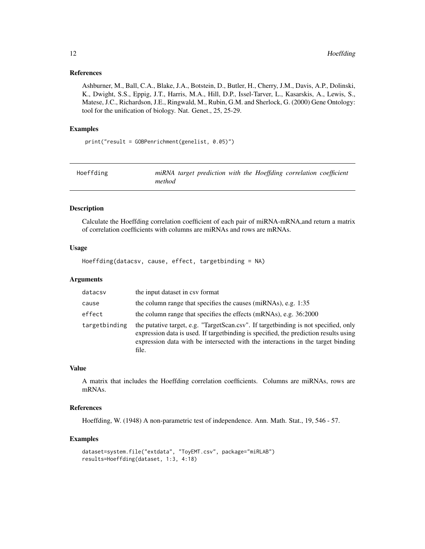#### <span id="page-11-0"></span>References

Ashburner, M., Ball, C.A., Blake, J.A., Botstein, D., Butler, H., Cherry, J.M., Davis, A.P., Dolinski, K., Dwight, S.S., Eppig, J.T., Harris, M.A., Hill, D.P., Issel-Tarver, L., Kasarskis, A., Lewis, S., Matese, J.C., Richardson, J.E., Ringwald, M., Rubin, G.M. and Sherlock, G. (2000) Gene Ontology: tool for the unification of biology. Nat. Genet., 25, 25-29.

#### Examples

print("result = GOBPenrichment(genelist, 0.05)")

| Hoeffding |        |  |  | miRNA target prediction with the Hoeffding correlation coefficient |  |
|-----------|--------|--|--|--------------------------------------------------------------------|--|
|           | method |  |  |                                                                    |  |

#### Description

Calculate the Hoeffding correlation coefficient of each pair of miRNA-mRNA,and return a matrix of correlation coefficients with columns are miRNAs and rows are mRNAs.

# Usage

Hoeffding(datacsv, cause, effect, targetbinding = NA)

#### Arguments

| datacsv       | the input dataset in csy format                                                                                                                                                                                                                                           |
|---------------|---------------------------------------------------------------------------------------------------------------------------------------------------------------------------------------------------------------------------------------------------------------------------|
| cause         | the column range that specifies the causes (miRNAs), e.g. 1:35                                                                                                                                                                                                            |
| effect        | the column range that specifies the effects (mRNAs), e.g. 36:2000                                                                                                                                                                                                         |
| targetbinding | the putative target, e.g. "TargetScan.csv". If target binding is not specified, only<br>expression data is used. If target binding is specified, the prediction results using<br>expression data with be intersected with the interactions in the target binding<br>file. |

#### Value

A matrix that includes the Hoeffding correlation coefficients. Columns are miRNAs, rows are mRNAs.

#### References

Hoeffding, W. (1948) A non-parametric test of independence. Ann. Math. Stat., 19, 546 - 57.

```
dataset=system.file("extdata", "ToyEMT.csv", package="miRLAB")
results=Hoeffding(dataset, 1:3, 4:18)
```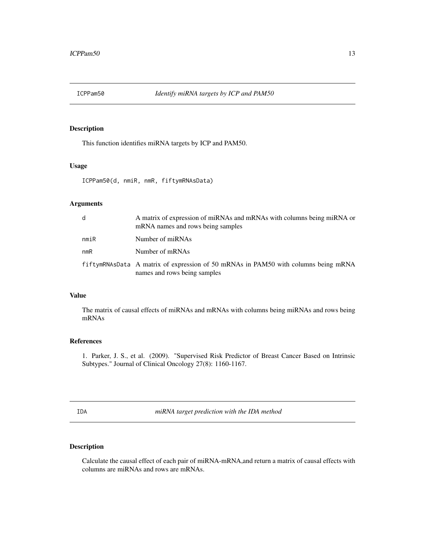<span id="page-12-0"></span>

This function identifies miRNA targets by ICP and PAM50.

#### Usage

ICPPam50(d, nmiR, nmR, fiftymRNAsData)

# Arguments

| d    | A matrix of expression of miRNAs and mRNAs with columns being miRNA or<br>mRNA names and rows being samples        |
|------|--------------------------------------------------------------------------------------------------------------------|
| nmiR | Number of miRNAs                                                                                                   |
| nmR  | Number of mRNAs                                                                                                    |
|      | fiftymRNAsData A matrix of expression of 50 mRNAs in PAM50 with columns being mRNA<br>names and rows being samples |

# Value

The matrix of causal effects of miRNAs and mRNAs with columns being miRNAs and rows being mRNAs

# References

1. Parker, J. S., et al. (2009). "Supervised Risk Predictor of Breast Cancer Based on Intrinsic Subtypes." Journal of Clinical Oncology 27(8): 1160-1167.

IDA *miRNA target prediction with the IDA method*

# Description

Calculate the causal effect of each pair of miRNA-mRNA,and return a matrix of causal effects with columns are miRNAs and rows are mRNAs.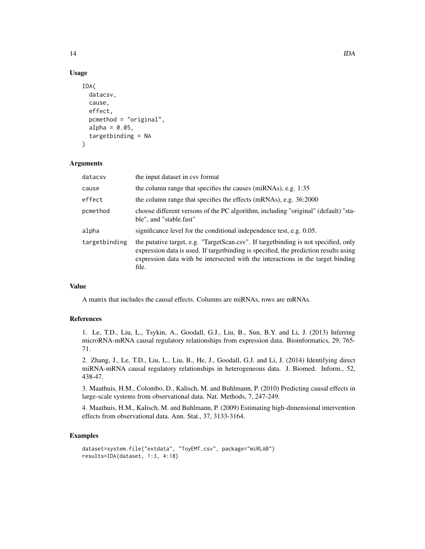#### Usage

```
IDA(
  datacsv,
  cause,
  effect,
  pcmethod = "original",
  alpha = 0.05,
  targetbinding = NA
)
```
# Arguments

| datacsv       | the input dataset in csy format                                                                                                                                                                                                                                           |
|---------------|---------------------------------------------------------------------------------------------------------------------------------------------------------------------------------------------------------------------------------------------------------------------------|
| cause         | the column range that specifies the causes (miRNAs), e.g. 1:35                                                                                                                                                                                                            |
| effect        | the column range that specifies the effects (mRNAs), e.g. 36:2000                                                                                                                                                                                                         |
| pcmethod      | choose different versons of the PC algorithm, including "original" (default) "sta-<br>ble", and "stable.fast"                                                                                                                                                             |
| alpha         | significance level for the conditional independence test, e.g. 0.05.                                                                                                                                                                                                      |
| targetbinding | the putative target, e.g. "TargetScan.csv". If target binding is not specified, only<br>expression data is used. If target binding is specified, the prediction results using<br>expression data with be intersected with the interactions in the target binding<br>file. |

#### Value

A matrix that includes the causal effects. Columns are miRNAs, rows are mRNAs.

#### References

1. Le, T.D., Liu, L., Tsykin, A., Goodall, G.J., Liu, B., Sun, B.Y. and Li, J. (2013) Inferring microRNA-mRNA causal regulatory relationships from expression data. Bioinformatics, 29, 765- 71.

2. Zhang, J., Le, T.D., Liu, L., Liu, B., He, J., Goodall, G.J. and Li, J. (2014) Identifying direct miRNA-mRNA causal regulatory relationships in heterogeneous data. J. Biomed. Inform., 52, 438-47.

3. Maathuis, H.M., Colombo, D., Kalisch, M. and Buhlmann, P. (2010) Predicting causal effects in large-scale systems from observational data. Nat. Methods, 7, 247-249.

4. Maathuis, H.M., Kalisch, M. and Buhlmann, P. (2009) Estimating high-dimensional intervention effects from observational data. Ann. Stat., 37, 3133-3164.

```
dataset=system.file("extdata", "ToyEMT.csv", package="miRLAB")
results=IDA(dataset, 1:3, 4:18)
```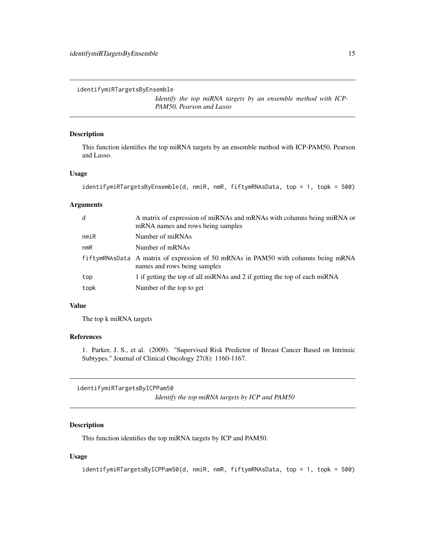<span id="page-14-0"></span>identifymiRTargetsByEnsemble

*Identify the top miRNA targets by an ensemble method with ICP-PAM50, Pearson and Lasso*

#### Description

This function identifies the top miRNA targets by an ensemble method with ICP-PAM50, Pearson and Lasso.

#### Usage

```
identifymiRTargetsByEnsemble(d, nmiR, nmR, fiftymRNAsData, top = 1, topk = 500)
```
#### Arguments

| d    | A matrix of expression of miRNAs and mRNAs with columns being miRNA or<br>mRNA names and rows being samples        |
|------|--------------------------------------------------------------------------------------------------------------------|
| nmin | Number of miRNAs                                                                                                   |
| nmR  | Number of mRNAs                                                                                                    |
|      | fiftymRNAsData A matrix of expression of 50 mRNAs in PAM50 with columns being mRNA<br>names and rows being samples |
| top  | 1 if getting the top of all miRNAs and 2 if getting the top of each miRNA                                          |
| topk | Number of the top to get                                                                                           |

#### Value

The top k miRNA targets

#### References

1. Parker, J. S., et al. (2009). "Supervised Risk Predictor of Breast Cancer Based on Intrinsic Subtypes." Journal of Clinical Oncology 27(8): 1160-1167.

identifymiRTargetsByICPPam50

*Identify the top miRNA targets by ICP and PAM50*

# Description

This function identifies the top miRNA targets by ICP and PAM50.

#### Usage

identifymiRTargetsByICPPam50(d, nmiR, nmR, fiftymRNAsData, top = 1, topk = 500)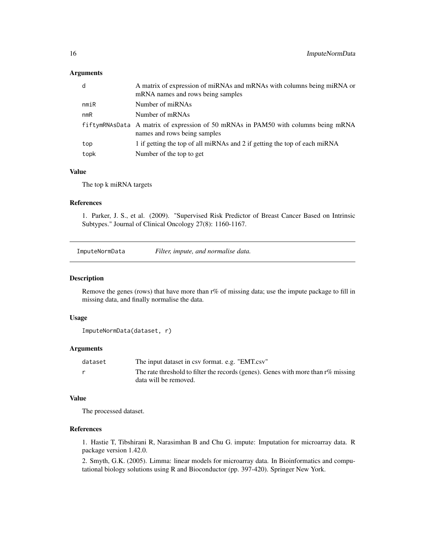#### <span id="page-15-0"></span>Arguments

| d    | A matrix of expression of miRNAs and mRNAs with columns being miRNA or<br>mRNA names and rows being samples        |
|------|--------------------------------------------------------------------------------------------------------------------|
| nmiR | Number of miRNAs                                                                                                   |
| nmR  | Number of mRNAs                                                                                                    |
|      | fiftymRNAsData A matrix of expression of 50 mRNAs in PAM50 with columns being mRNA<br>names and rows being samples |
| top  | 1 if getting the top of all miRNAs and 2 if getting the top of each miRNA                                          |
| topk | Number of the top to get                                                                                           |

#### Value

The top k miRNA targets

#### References

1. Parker, J. S., et al. (2009). "Supervised Risk Predictor of Breast Cancer Based on Intrinsic Subtypes." Journal of Clinical Oncology 27(8): 1160-1167.

ImputeNormData *Filter, impute, and normalise data.*

#### Description

Remove the genes (rows) that have more than r% of missing data; use the impute package to fill in missing data, and finally normalise the data.

#### Usage

```
ImputeNormData(dataset, r)
```
# Arguments

| dataset | The input dataset in csy format. e.g. "EMT.csy"                                      |
|---------|--------------------------------------------------------------------------------------|
|         | The rate threshold to filter the records (genes). Genes with more than $r\%$ missing |
|         | data will be removed.                                                                |

# Value

The processed dataset.

# References

1. Hastie T, Tibshirani R, Narasimhan B and Chu G. impute: Imputation for microarray data. R package version 1.42.0.

2. Smyth, G.K. (2005). Limma: linear models for microarray data. In Bioinformatics and computational biology solutions using R and Bioconductor (pp. 397-420). Springer New York.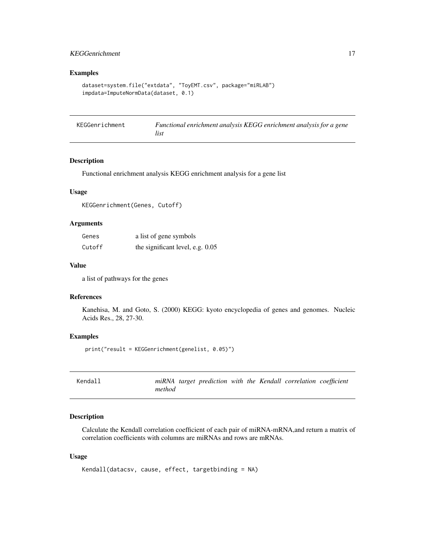# <span id="page-16-0"></span>KEGGenrichment 17

# Examples

```
dataset=system.file("extdata", "ToyEMT.csv", package="miRLAB")
impdata=ImputeNormData(dataset, 0.1)
```

| KEGGenrichment | Functional enrichment analysis KEGG enrichment analysis for a gene |
|----------------|--------------------------------------------------------------------|
|                | list                                                               |

#### Description

Functional enrichment analysis KEGG enrichment analysis for a gene list

#### Usage

KEGGenrichment(Genes, Cutoff)

#### Arguments

| Genes  | a list of gene symbols           |
|--------|----------------------------------|
| Cutoff | the significant level, e.g. 0.05 |

#### Value

a list of pathways for the genes

#### References

Kanehisa, M. and Goto, S. (2000) KEGG: kyoto encyclopedia of genes and genomes. Nucleic Acids Res., 28, 27-30.

#### Examples

print("result = KEGGenrichment(genelist, 0.05)")

| Kendall |        |  |  | miRNA target prediction with the Kendall correlation coefficient |  |
|---------|--------|--|--|------------------------------------------------------------------|--|
|         | method |  |  |                                                                  |  |

#### Description

Calculate the Kendall correlation coefficient of each pair of miRNA-mRNA,and return a matrix of correlation coefficients with columns are miRNAs and rows are mRNAs.

#### Usage

```
Kendall(datacsv, cause, effect, targetbinding = NA)
```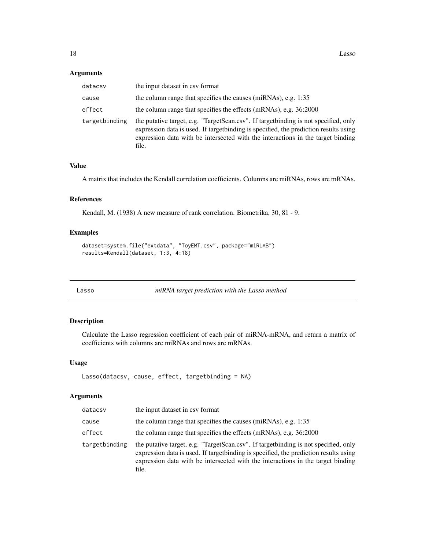#### <span id="page-17-0"></span>Arguments

| datacsv       | the input dataset in csy format                                                                                                                                                                                                                                          |
|---------------|--------------------------------------------------------------------------------------------------------------------------------------------------------------------------------------------------------------------------------------------------------------------------|
| cause         | the column range that specifies the causes (miRNAs), e.g. 1:35                                                                                                                                                                                                           |
| effect        | the column range that specifies the effects (mRNAs), e.g. 36:2000                                                                                                                                                                                                        |
| targetbinding | the putative target, e.g. "TargetScan.csv". If target binding is not specified, only<br>expression data is used. If targetbinding is specified, the prediction results using<br>expression data with be intersected with the interactions in the target binding<br>file. |

# Value

A matrix that includes the Kendall correlation coefficients. Columns are miRNAs, rows are mRNAs.

# References

Kendall, M. (1938) A new measure of rank correlation. Biometrika, 30, 81 - 9.

#### Examples

```
dataset=system.file("extdata", "ToyEMT.csv", package="miRLAB")
results=Kendall(dataset, 1:3, 4:18)
```
Lasso *miRNA target prediction with the Lasso method*

#### Description

Calculate the Lasso regression coefficient of each pair of miRNA-mRNA, and return a matrix of coefficients with columns are miRNAs and rows are mRNAs.

#### Usage

```
Lasso(datacsv, cause, effect, targetbinding = NA)
```
# Arguments

| datacsv       | the input dataset in csy format                                                                                                                                                                                                                                           |
|---------------|---------------------------------------------------------------------------------------------------------------------------------------------------------------------------------------------------------------------------------------------------------------------------|
| cause         | the column range that specifies the causes (miRNAs), e.g. 1:35                                                                                                                                                                                                            |
| effect        | the column range that specifies the effects (mRNAs), e.g. 36:2000                                                                                                                                                                                                         |
| targetbinding | the putative target, e.g. "TargetScan.csv". If target binding is not specified, only<br>expression data is used. If target binding is specified, the prediction results using<br>expression data with be intersected with the interactions in the target binding<br>file. |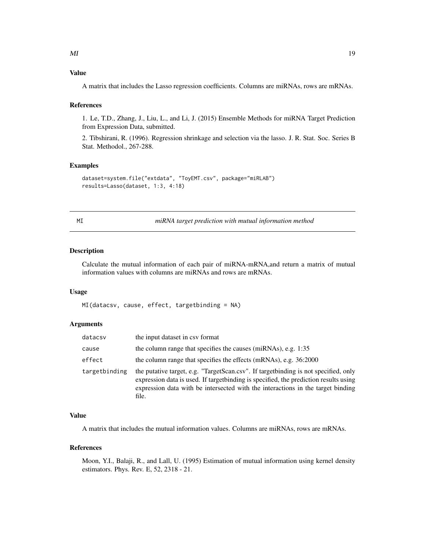# <span id="page-18-0"></span>Value

A matrix that includes the Lasso regression coefficients. Columns are miRNAs, rows are mRNAs.

#### References

1. Le, T.D., Zhang, J., Liu, L., and Li, J. (2015) Ensemble Methods for miRNA Target Prediction from Expression Data, submitted.

2. Tibshirani, R. (1996). Regression shrinkage and selection via the lasso. J. R. Stat. Soc. Series B Stat. Methodol., 267-288.

#### Examples

```
dataset=system.file("extdata", "ToyEMT.csv", package="miRLAB")
results=Lasso(dataset, 1:3, 4:18)
```
MI *miRNA target prediction with mutual information method*

# Description

Calculate the mutual information of each pair of miRNA-mRNA,and return a matrix of mutual information values with columns are miRNAs and rows are mRNAs.

#### Usage

```
MI(datacsv, cause, effect, targetbinding = NA)
```
## Arguments

| datacsv       | the input dataset in csy format                                                                                                                                                                                                                                           |
|---------------|---------------------------------------------------------------------------------------------------------------------------------------------------------------------------------------------------------------------------------------------------------------------------|
| cause         | the column range that specifies the causes (miRNAs), e.g. 1:35                                                                                                                                                                                                            |
| effect        | the column range that specifies the effects (mRNAs), e.g. 36:2000                                                                                                                                                                                                         |
| targetbinding | the putative target, e.g. "TargetScan.csv". If target binding is not specified, only<br>expression data is used. If target binding is specified, the prediction results using<br>expression data with be intersected with the interactions in the target binding<br>file. |

#### Value

A matrix that includes the mutual information values. Columns are miRNAs, rows are mRNAs.

#### References

Moon, Y.I., Balaji, R., and Lall, U. (1995) Estimation of mutual information using kernel density estimators. Phys. Rev. E, 52, 2318 - 21.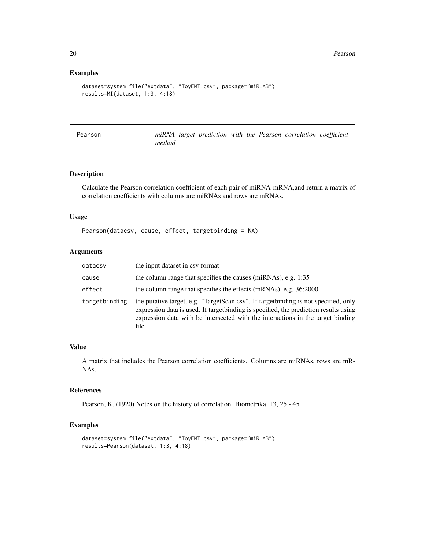### Examples

```
dataset=system.file("extdata", "ToyEMT.csv", package="miRLAB")
results=MI(dataset, 1:3, 4:18)
```

| Pearson |        |  |  | miRNA target prediction with the Pearson correlation coefficient |  |
|---------|--------|--|--|------------------------------------------------------------------|--|
|         | method |  |  |                                                                  |  |

# Description

Calculate the Pearson correlation coefficient of each pair of miRNA-mRNA,and return a matrix of correlation coefficients with columns are miRNAs and rows are mRNAs.

## Usage

Pearson(datacsv, cause, effect, targetbinding = NA)

# Arguments

| datacsv       | the input dataset in csy format                                                                                                                                                                                                                                           |
|---------------|---------------------------------------------------------------------------------------------------------------------------------------------------------------------------------------------------------------------------------------------------------------------------|
| cause         | the column range that specifies the causes (miRNAs), e.g. 1:35                                                                                                                                                                                                            |
| effect        | the column range that specifies the effects (mRNAs), e.g. 36:2000                                                                                                                                                                                                         |
| targetbinding | the putative target, e.g. "TargetScan.csv". If target binding is not specified, only<br>expression data is used. If target binding is specified, the prediction results using<br>expression data with be intersected with the interactions in the target binding<br>file. |

# Value

A matrix that includes the Pearson correlation coefficients. Columns are miRNAs, rows are mR-NAs.

#### References

Pearson, K. (1920) Notes on the history of correlation. Biometrika, 13, 25 - 45.

```
dataset=system.file("extdata", "ToyEMT.csv", package="miRLAB")
results=Pearson(dataset, 1:3, 4:18)
```
<span id="page-19-0"></span>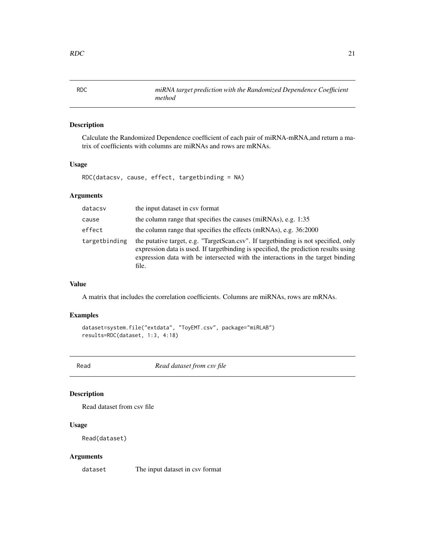<span id="page-20-0"></span>RDC *miRNA target prediction with the Randomized Dependence Coefficient method*

# Description

Calculate the Randomized Dependence coefficient of each pair of miRNA-mRNA,and return a matrix of coefficients with columns are miRNAs and rows are mRNAs.

# Usage

RDC(datacsv, cause, effect, targetbinding = NA)

# Arguments

| datacsv       | the input dataset in csy format                                                                                                                                                                                                                                           |
|---------------|---------------------------------------------------------------------------------------------------------------------------------------------------------------------------------------------------------------------------------------------------------------------------|
| cause         | the column range that specifies the causes (miRNAs), e.g. 1:35                                                                                                                                                                                                            |
| effect        | the column range that specifies the effects (mRNAs), e.g. 36:2000                                                                                                                                                                                                         |
| targetbinding | the putative target, e.g. "TargetScan.csv". If target binding is not specified, only<br>expression data is used. If target binding is specified, the prediction results using<br>expression data with be intersected with the interactions in the target binding<br>file. |

# Value

A matrix that includes the correlation coefficients. Columns are miRNAs, rows are mRNAs.

# Examples

```
dataset=system.file("extdata", "ToyEMT.csv", package="miRLAB")
results=RDC(dataset, 1:3, 4:18)
```
Read *Read dataset from csv file*

# Description

Read dataset from csv file

# Usage

Read(dataset)

# Arguments

dataset The input dataset in csv format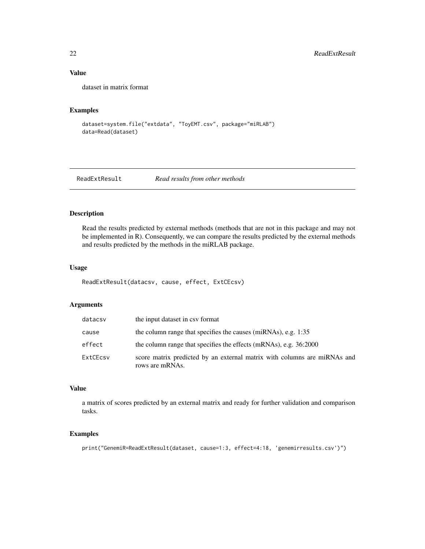# Value

dataset in matrix format

# Examples

```
dataset=system.file("extdata", "ToyEMT.csv", package="miRLAB")
data=Read(dataset)
```
ReadExtResult *Read results from other methods*

# Description

Read the results predicted by external methods (methods that are not in this package and may not be implemented in R). Consequently, we can compare the results predicted by the external methods and results predicted by the methods in the miRLAB package.

#### Usage

ReadExtResult(datacsv, cause, effect, ExtCEcsv)

# Arguments

| datacsv  | the input dataset in csy format                                                             |
|----------|---------------------------------------------------------------------------------------------|
| cause    | the column range that specifies the causes (miRNAs), e.g. 1:35                              |
| effect   | the column range that specifies the effects (mRNAs), e.g. 36:2000                           |
| ExtCEcsy | score matrix predicted by an external matrix with columns are miRNAs and<br>rows are mRNAs. |

#### Value

a matrix of scores predicted by an external matrix and ready for further validation and comparison tasks.

```
print("GenemiR=ReadExtResult(dataset, cause=1:3, effect=4:18, 'genemirresults.csv')")
```
<span id="page-21-0"></span>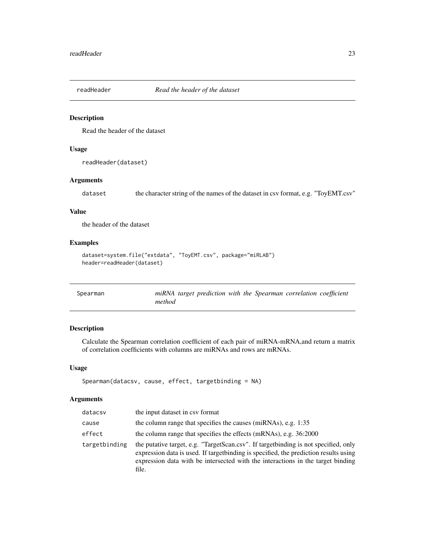<span id="page-22-0"></span>

Read the header of the dataset

# Usage

readHeader(dataset)

# Arguments

dataset the character string of the names of the dataset in csv format, e.g. "ToyEMT.csv"

# Value

the header of the dataset

# Examples

```
dataset=system.file("extdata", "ToyEMT.csv", package="miRLAB")
header=readHeader(dataset)
```

| Spearman |        |  |  | miRNA target prediction with the Spearman correlation coefficient |  |
|----------|--------|--|--|-------------------------------------------------------------------|--|
|          | method |  |  |                                                                   |  |

# Description

Calculate the Spearman correlation coefficient of each pair of miRNA-mRNA,and return a matrix of correlation coefficients with columns are miRNAs and rows are mRNAs.

#### Usage

```
Spearman(datacsv, cause, effect, targetbinding = NA)
```
# Arguments

| datacsv       | the input dataset in csy format                                                                                                                                                                                                                                           |
|---------------|---------------------------------------------------------------------------------------------------------------------------------------------------------------------------------------------------------------------------------------------------------------------------|
| cause         | the column range that specifies the causes (miRNAs), e.g. 1:35                                                                                                                                                                                                            |
| effect        | the column range that specifies the effects (mRNAs), e.g. 36:2000                                                                                                                                                                                                         |
| targetbinding | the putative target, e.g. "TargetScan.csv". If target binding is not specified, only<br>expression data is used. If target binding is specified, the prediction results using<br>expression data with be intersected with the interactions in the target binding<br>file. |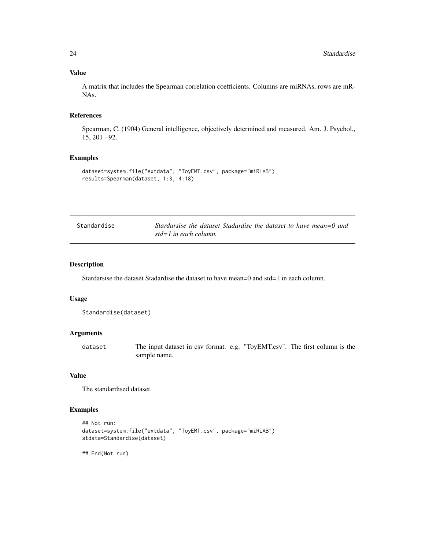#### <span id="page-23-0"></span>Value

A matrix that includes the Spearman correlation coefficients. Columns are miRNAs, rows are mR-NAs.

#### References

Spearman, C. (1904) General intelligence, objectively determined and measured. Am. J. Psychol., 15, 201 - 92.

#### Examples

```
dataset=system.file("extdata", "ToyEMT.csv", package="miRLAB")
results=Spearman(dataset, 1:3, 4:18)
```

| Standardise | Stardarsise the dataset Stadardise the dataset to have mean=0 and |
|-------------|-------------------------------------------------------------------|
|             | std=1 in each column.                                             |

#### Description

Stardarsise the dataset Stadardise the dataset to have mean=0 and std=1 in each column.

#### Usage

```
Standardise(dataset)
```
#### Arguments

dataset The input dataset in csv format. e.g. "ToyEMT.csv". The first column is the sample name.

# Value

The standardised dataset.

# Examples

```
## Not run:
dataset=system.file("extdata", "ToyEMT.csv", package="miRLAB")
stdata=Standardise(dataset)
```
## End(Not run)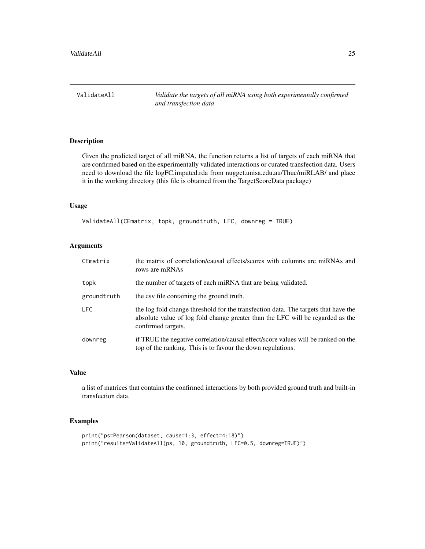<span id="page-24-0"></span>

Given the predicted target of all miRNA, the function returns a list of targets of each miRNA that are confirmed based on the experimentally validated interactions or curated transfection data. Users need to download the file logFC.imputed.rda from nugget.unisa.edu.au/Thuc/miRLAB/ and place it in the working directory (this file is obtained from the TargetScoreData package)

# Usage

```
ValidateAll(CEmatrix, topk, groundtruth, LFC, downreg = TRUE)
```
# Arguments

| CEmatrix    | the matrix of correlation/causal effects/scores with columns are miRNAs and<br>rows are mRNAs                                                                                              |
|-------------|--------------------------------------------------------------------------------------------------------------------------------------------------------------------------------------------|
| topk        | the number of targets of each miRNA that are being validated.                                                                                                                              |
| groundtruth | the csv file containing the ground truth.                                                                                                                                                  |
| <b>LFC</b>  | the log fold change threshold for the transfection data. The targets that have the<br>absolute value of log fold change greater than the LFC will be regarded as the<br>confirmed targets. |
| downreg     | if TRUE the negative correlation/causal effect/score values will be ranked on the<br>top of the ranking. This is to favour the down regulations.                                           |

# Value

a list of matrices that contains the confirmed interactions by both provided ground truth and built-in transfection data.

```
print("ps=Pearson(dataset, cause=1:3, effect=4:18)")
print("results=ValidateAll(ps, 10, groundtruth, LFC=0.5, downreg=TRUE)")
```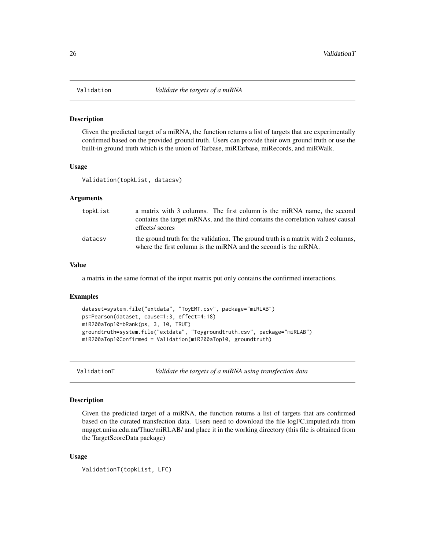<span id="page-25-0"></span>

Given the predicted target of a miRNA, the function returns a list of targets that are experimentally confirmed based on the provided ground truth. Users can provide their own ground truth or use the built-in ground truth which is the union of Tarbase, miRTarbase, miRecords, and miRWalk.

#### Usage

Validation(topkList, datacsv)

# Arguments

| topkList | a matrix with 3 columns. The first column is the miRNA name, the second<br>contains the target mRNAs, and the third contains the correlation values/ causal<br>effects/ scores |
|----------|--------------------------------------------------------------------------------------------------------------------------------------------------------------------------------|
| datacsv  | the ground truth for the validation. The ground truth is a matrix with 2 columns,<br>where the first column is the miRNA and the second is the mRNA.                           |

#### Value

a matrix in the same format of the input matrix put only contains the confirmed interactions.

#### Examples

```
dataset=system.file("extdata", "ToyEMT.csv", package="miRLAB")
ps=Pearson(dataset, cause=1:3, effect=4:18)
miR200aTop10=bRank(ps, 3, 10, TRUE)
groundtruth=system.file("extdata", "Toygroundtruth.csv", package="miRLAB")
miR200aTop10Confirmed = Validation(miR200aTop10, groundtruth)
```
ValidationT *Validate the targets of a miRNA using transfection data*

# Description

Given the predicted target of a miRNA, the function returns a list of targets that are confirmed based on the curated transfection data. Users need to download the file logFC.imputed.rda from nugget.unisa.edu.au/Thuc/miRLAB/ and place it in the working directory (this file is obtained from the TargetScoreData package)

#### Usage

```
ValidationT(topkList, LFC)
```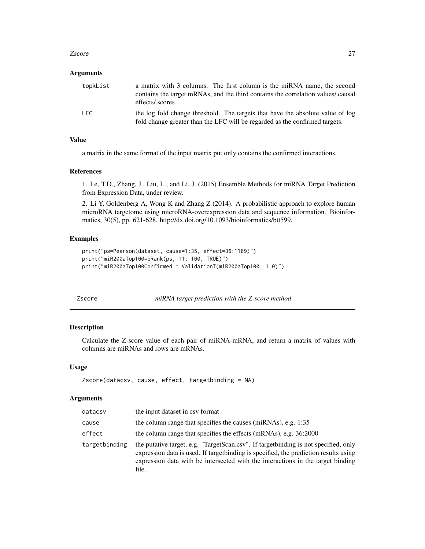#### <span id="page-26-0"></span>zscore and 27 and 27 and 27 and 27 and 27 and 27 and 27 and 27 and 27 and 27 and 27 and 27 and 27 and 27 and 27

#### Arguments

| topkList | a matrix with 3 columns. The first column is the miRNA name, the second<br>contains the target mRNAs, and the third contains the correlation values/ causal<br>effects/ scores |
|----------|--------------------------------------------------------------------------------------------------------------------------------------------------------------------------------|
| LFC.     | the log fold change threshold. The targets that have the absolute value of log<br>fold change greater than the LFC will be regarded as the confirmed targets.                  |

# Value

a matrix in the same format of the input matrix put only contains the confirmed interactions.

#### References

1. Le, T.D., Zhang, J., Liu, L., and Li, J. (2015) Ensemble Methods for miRNA Target Prediction from Expression Data, under review.

2. Li Y, Goldenberg A, Wong K and Zhang Z (2014). A probabilistic approach to explore human microRNA targetome using microRNA-overexpression data and sequence information. Bioinformatics, 30(5), pp. 621-628. http://dx.doi.org/10.1093/bioinformatics/btt599.

# Examples

```
print("ps=Pearson(dataset, cause=1:35, effect=36:1189)")
print("miR200aTop100=bRank(ps, 11, 100, TRUE)")
print("miR200aTop100Confirmed = ValidationT(miR200aTop100, 1.0)")
```
Zscore *miRNA target prediction with the Z-score method*

# Description

Calculate the Z-score value of each pair of miRNA-mRNA, and return a matrix of values with columns are miRNAs and rows are mRNAs.

### Usage

```
Zscore(datacsv, cause, effect, targetbinding = NA)
```
#### Arguments

| datacsv       | the input dataset in csy format                                                                                                                                                                                                                                           |
|---------------|---------------------------------------------------------------------------------------------------------------------------------------------------------------------------------------------------------------------------------------------------------------------------|
| cause         | the column range that specifies the causes (miRNAs), e.g. 1:35                                                                                                                                                                                                            |
| effect        | the column range that specifies the effects (mRNAs), e.g. 36:2000                                                                                                                                                                                                         |
| targetbinding | the putative target, e.g. "TargetScan.csv". If target binding is not specified, only<br>expression data is used. If target binding is specified, the prediction results using<br>expression data with be intersected with the interactions in the target binding<br>file. |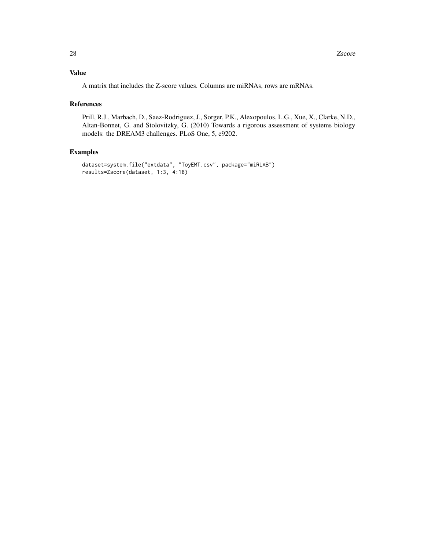# Value

A matrix that includes the Z-score values. Columns are miRNAs, rows are mRNAs.

#### References

Prill, R.J., Marbach, D., Saez-Rodriguez, J., Sorger, P.K., Alexopoulos, L.G., Xue, X., Clarke, N.D., Altan-Bonnet, G. and Stolovitzky, G. (2010) Towards a rigorous assessment of systems biology models: the DREAM3 challenges. PLoS One, 5, e9202.

```
dataset=system.file("extdata", "ToyEMT.csv", package="miRLAB")
results=Zscore(dataset, 1:3, 4:18)
```